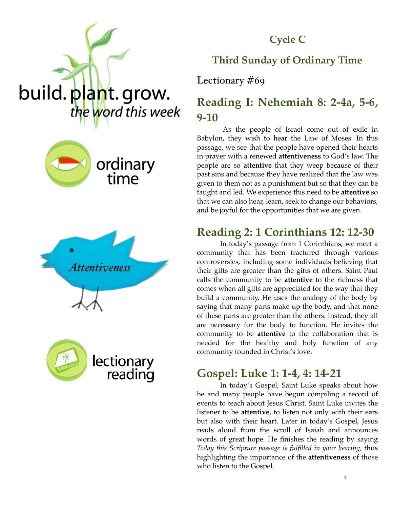

#### **Cycle C**

#### **Third Sunday of Ordinary Time**

Lectionary #69

## **Reading I: Nehemiah 8: 2-4a, 5-6, 9-10**

 As the people of Israel come out of exile in Babylon, they wish to hear the Law of Moses. In this passage, we see that the people have opened their hearts in prayer with a renewed **attentiveness** to God's law. The people are so **attentive** that they weep because of their past sins and because they have realized that the law was given to them not as a punishment but so that they can be taught and led. We experience this need to be **attentive** so that we can also hear, learn, seek to change our behaviors, and be joyful for the opportunities that we are given.

## **Reading 2: 1 Corinthians 12: 12-30**

In today's passage from 1 Corinthians, we meet a community that has been fractured through various controversies, including some individuals believing that their gifts are greater than the gifts of others. Saint Paul calls the community to be **attentive** to the richness that comes when all gifts are appreciated for the way that they build a community. He uses the analogy of the body by saying that many parts make up the body, and that none of these parts are greater than the others. Instead, they all are necessary for the body to function. He invites the community to be **attentive** to the collaboration that is needed for the healthy and holy function of any community founded in Christ's love.

### **Gospel: Luke 1: 1-4, 4: 14-21**

In today's Gospel, Saint Luke speaks about how he and many people have begun compiling a record of events to teach about Jesus Christ. Saint Luke invites the listener to be **attentive,** to listen not only with their ears but also with their heart. Later in today's Gospel, Jesus reads aloud from the scroll of Isaiah and announces words of great hope. He finishes the reading by saying *Today this Scripture passage is fulfilled in your hearing,* thus highlighting the importance of the **attentiveness** of those who listen to the Gospel.







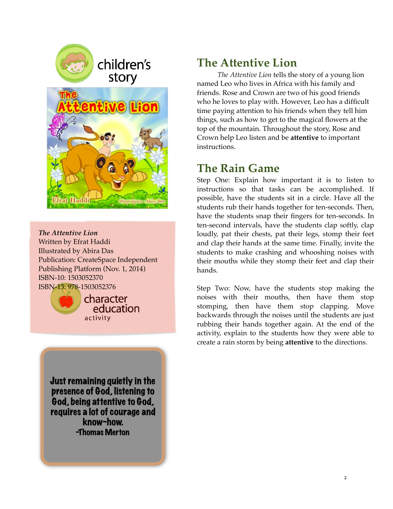

children's story



*The Attentive Lion*  Written by Efrat Haddi Illustrated by Abira Das Publication: CreateSpace Independent Publishing Platform (Nov. 1, 2014) ISBN-10: 1503052370 ISBN-13: 978-1503052376



character education activity

Just remaining quietly in the presence of God, listening to God, being attentive to God, requires a lot of courage and know-how. -Thomas Merton

## **The Attentive Lion**

*The Attentive Lion* tells the story of a young lion named Leo who lives in Africa with his family and friends. Rose and Crown are two of his good friends who he loves to play with. However, Leo has a difficult time paying attention to his friends when they tell him things, such as how to get to the magical flowers at the top of the mountain. Throughout the story, Rose and Crown help Leo listen and be **attentive** to important instructions.

# **The Rain Game**

Step One: Explain how important it is to listen to instructions so that tasks can be accomplished. If possible, have the students sit in a circle. Have all the students rub their hands together for ten-seconds. Then, have the students snap their fingers for ten-seconds. In ten-second intervals, have the students clap softly, clap loudly, pat their chests, pat their legs, stomp their feet and clap their hands at the same time. Finally, invite the students to make crashing and whooshing noises with their mouths while they stomp their feet and clap their hands.

Step Two: Now, have the students stop making the noises with their mouths, then have them stop stomping, then have them stop clapping. Move backwards through the noises until the students are just rubbing their hands together again. At the end of the activity, explain to the students how they were able to create a rain storm by being **attentive** to the directions.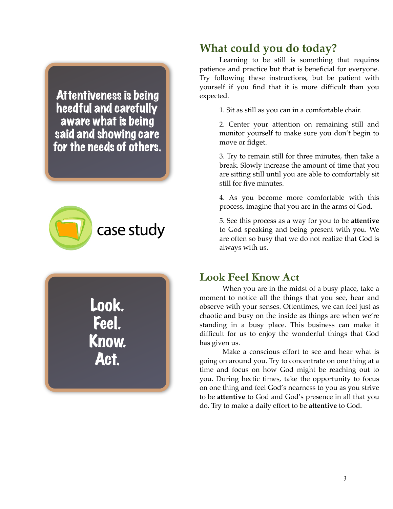Attentiveness is being heedful and carefully aware what is being said and showing care for the needs of others.



Look. Feel. Know. Act.

## **What could you do today?**

Learning to be still is something that requires patience and practice but that is beneficial for everyone. Try following these instructions, but be patient with yourself if you find that it is more difficult than you expected.

1. Sit as still as you can in a comfortable chair.

2. Center your attention on remaining still and monitor yourself to make sure you don't begin to move or fidget.

3. Try to remain still for three minutes, then take a break. Slowly increase the amount of time that you are sitting still until you are able to comfortably sit still for five minutes.

4. As you become more comfortable with this process, imagine that you are in the arms of God.

5. See this process as a way for you to be **attentive**  to God speaking and being present with you. We are often so busy that we do not realize that God is always with us.

#### **Look Feel Know Act**

When you are in the midst of a busy place, take a moment to notice all the things that you see, hear and observe with your senses. Oftentimes, we can feel just as chaotic and busy on the inside as things are when we're standing in a busy place. This business can make it difficult for us to enjoy the wonderful things that God has given us.

Make a conscious effort to see and hear what is going on around you. Try to concentrate on one thing at a time and focus on how God might be reaching out to you. During hectic times, take the opportunity to focus on one thing and feel God's nearness to you as you strive to be **attentive** to God and God's presence in all that you do. Try to make a daily effort to be **attentive** to God.